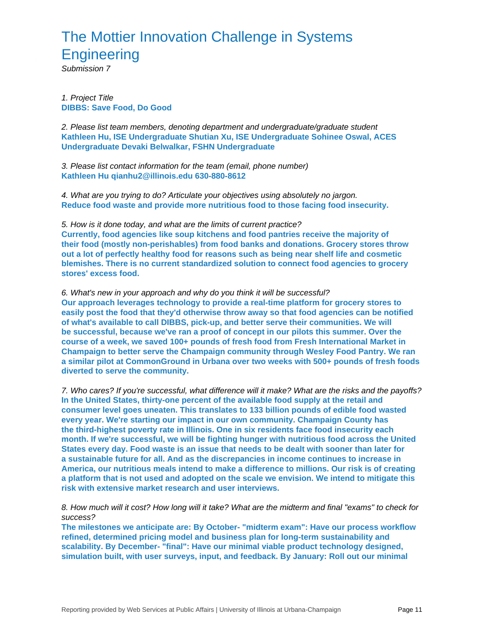## The Mottier Innovation Challenge in Systems **Engineering**

Submission 7

## 1. Project Title **DIBBS: Save Food, Do Good**

2. Please list team members, denoting department and undergraduate/graduate student **Kathleen Hu, ISE Undergraduate Shutian Xu, ISE Undergraduate Sohinee Oswal, ACES Undergraduate Devaki Belwalkar, FSHN Undergraduate**

3. Please list contact information for the team (email, phone number) **Kathleen Hu qianhu2@illinois.edu 630-880-8612**

4. What are you trying to do? Articulate your objectives using absolutely no jargon. **Reduce food waste and provide more nutritious food to those facing food insecurity.**

5. How is it done today, and what are the limits of current practice? **Currently, food agencies like soup kitchens and food pantries receive the majority of their food (mostly non-perishables) from food banks and donations. Grocery stores throw out a lot of perfectly healthy food for reasons such as being near shelf life and cosmetic blemishes. There is no current standardized solution to connect food agencies to grocery stores' excess food.**

## 6. What's new in your approach and why do you think it will be successful?

**Our approach leverages technology to provide a real-time platform for grocery stores to easily post the food that they'd otherwise throw away so that food agencies can be notified of what's available to call DIBBS, pick-up, and better serve their communities. We will be successful, because we've ran a proof of concept in our pilots this summer. Over the course of a week, we saved 100+ pounds of fresh food from Fresh International Market in Champaign to better serve the Champaign community through Wesley Food Pantry. We ran a similar pilot at CommonGround in Urbana over two weeks with 500+ pounds of fresh foods diverted to serve the community.**

7. Who cares? If you're successful, what difference will it make? What are the risks and the payoffs? **In the United States, thirty-one percent of the available food supply at the retail and consumer level goes uneaten. This translates to 133 billion pounds of edible food wasted every year. We're starting our impact in our own community. Champaign County has the third-highest poverty rate in Illinois. One in six residents face food insecurity each month. If we're successful, we will be fighting hunger with nutritious food across the United States every day. Food waste is an issue that needs to be dealt with sooner than later for a sustainable future for all. And as the discrepancies in income continues to increase in America, our nutritious meals intend to make a difference to millions. Our risk is of creating a platform that is not used and adopted on the scale we envision. We intend to mitigate this risk with extensive market research and user interviews.**

8. How much will it cost? How long will it take? What are the midterm and final "exams" to check for success?

**The milestones we anticipate are: By October- "midterm exam": Have our process workflow refined, determined pricing model and business plan for long-term sustainability and scalability. By December- "final": Have our minimal viable product technology designed, simulation built, with user surveys, input, and feedback. By January: Roll out our minimal**